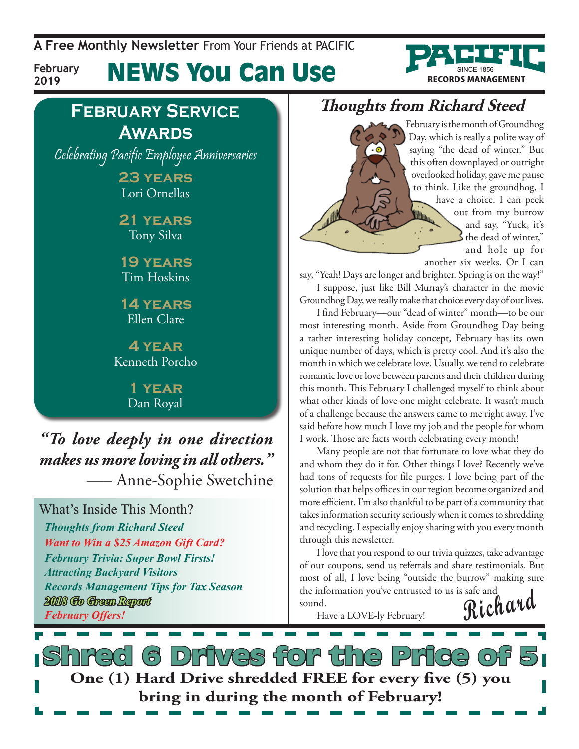**A Free Monthly Newsletter** From Your Friends at Pacific



**February 2019**

News You Can Use

## **February Service Awards**

Celebrating Pacific Employee Anniversaries

**23 years** Lori Ornellas

**21 years** Tony Silva

**19 years** Tim Hoskins

**14 years** Ellen Clare

**4 year** Kenneth Porcho

> **1 year** Dan Royal

*"To love deeply in one direction makes us more loving in all others."* —– Anne-Sophie Swetchine

What's Inside This Month? *Thoughts from Richard Steed Want to Win a \$25 Amazon Gift Card? February Trivia: Super Bowl Firsts! Attracting Backyard Visitors Records Management Tips for Tax Season 2018 Go Green Report February Offers!*

## **Thoughts from Richard Steed**

 $\cdot \circ$ 

February is the month of Groundhog Day, which is really a polite way of saying "the dead of winter." But this often downplayed or outright overlooked holiday, gave me pause to think. Like the groundhog, I have a choice. I can peek out from my burrow ille de la population de la production de la production de la production de la production de la production de la production de la production de la production de la production de la production de la production de la product and say, "Yuck, it's the dead of winter," and hole up for

another six weeks. Or I can say, "Yeah! Days are longer and brighter. Spring is on the way!" I suppose, just like Bill Murray's character in the movie

Groundhog Day, we really make that choice every day of our lives. I find February—our "dead of winter" month—to be our most interesting month. Aside from Groundhog Day being a rather interesting holiday concept, February has its own unique number of days, which is pretty cool. And it's also the month in which we celebrate love. Usually, we tend to celebrate romantic love or love between parents and their children during this month. This February I challenged myself to think about what other kinds of love one might celebrate. It wasn't much of a challenge because the answers came to me right away. I've said before how much I love my job and the people for whom I work. Those are facts worth celebrating every month!

Many people are not that fortunate to love what they do and whom they do it for. Other things I love? Recently we've had tons of requests for file purges. I love being part of the solution that helps offices in our region become organized and more efficient. I'm also thankful to be part of a community that takes information security seriously when it comes to shredding and recycling. I especially enjoy sharing with you every month through this newsletter.

**Richard** I love that you respond to our trivia quizzes, take advantage of our coupons, send us referrals and share testimonials. But most of all, I love being "outside the burrow" making sure the information you've entrusted to us is safe and sound.

Have a LOVE-ly February!

6 Drives for the Price of **One (1) Hard Drive shredded FREE for every five (5) you bring in during the month of February!**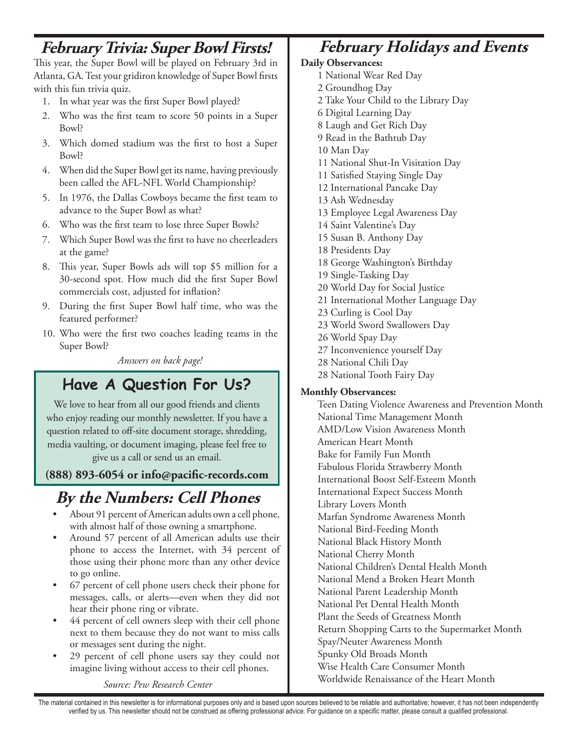### **February Trivia: Super Bowl Firsts!**

This year, the Super Bowl will be played on February 3rd in Atlanta, GA. Test your gridiron knowledge of Super Bowl firsts with this fun trivia quiz.

- 1. In what year was the first Super Bowl played?
- 2. Who was the first team to score 50 points in a Super Bowl?
- 3. Which domed stadium was the first to host a Super Bowl?
- 4. When did the Super Bowl get its name, having previously been called the AFL-NFL World Championship?
- 5. In 1976, the Dallas Cowboys became the first team to advance to the Super Bowl as what?
- 6. Who was the first team to lose three Super Bowls?
- 7. Which Super Bowl was the first to have no cheerleaders at the game?
- 8. This year, Super Bowls ads will top \$5 million for a 30-second spot. How much did the first Super Bowl commercials cost, adjusted for inflation?
- 9. During the first Super Bowl half time, who was the featured performer?
- 10. Who were the first two coaches leading teams in the Super Bowl?

*Answers on back page!*

### **Have A Question For Us?**

We love to hear from all our good friends and clients who enjoy reading our monthly newsletter. If you have a question related to off-site document storage, shredding, media vaulting, or document imaging, please feel free to give us a call or send us an email.

**(888) 893-6054 or info@pacific-records.com**

## **By the Numbers: Cell Phones**

- About 91 percent of American adults own a cell phone, with almost half of those owning a smartphone.
- Around 57 percent of all American adults use their phone to access the Internet, with 34 percent of those using their phone more than any other device to go online.
- 67 percent of cell phone users check their phone for messages, calls, or alerts—even when they did not hear their phone ring or vibrate.
- 44 percent of cell owners sleep with their cell phone next to them because they do not want to miss calls or messages sent during the night.
- 29 percent of cell phone users say they could not imagine living without access to their cell phones.

*Source: Pew Research Center*

### **February Holidays and Events**

#### **Daily Observances:**

- 1 National Wear Red Day
- 2 Groundhog Day
- 2 Take Your Child to the Library Day
- 6 Digital Learning Day
- 8 Laugh and Get Rich Day
- 9 Read in the Bathtub Day
- 10 Man Day
- 11 National Shut-In Visitation Day
- 11 Satisfied Staying Single Day
- 12 International Pancake Day
- 13 Ash Wednesday
- 13 Employee Legal Awareness Day
- 14 Saint Valentine's Day
- 15 Susan B. Anthony Day
- 18 Presidents Day 18 George Washington's Birthday
- 19 Single-Tasking Day
- 20 World Day for Social Justice
- 21 International Mother Language Day
- 23 Curling is Cool Day
- 23 World Sword Swallowers Day
- 26 World Spay Day
- 27 Inconvenience yourself Day
- 28 National Chili Day
- 28 National Tooth Fairy Day

#### **Monthly Observances:**

Teen Dating Violence Awareness and Prevention Month National Time Management Month AMD/Low Vision Awareness Month American Heart Month Bake for Family Fun Month Fabulous Florida Strawberry Month International Boost Self-Esteem Month International Expect Success Month Library Lovers Month Marfan Syndrome Awareness Month National Bird-Feeding Month National Black History Month National Cherry Month National Children's Dental Health Month National Mend a Broken Heart Month National Parent Leadership Month National Pet Dental Health Month Plant the Seeds of Greatness Month Return Shopping Carts to the Supermarket Month Spay/Neuter Awareness Month Spunky Old Broads Month Wise Health Care Consumer Month Worldwide Renaissance of the Heart Month

The material contained in this newsletter is for informational purposes only and is based upon sources believed to be reliable and authoritative; however, it has not been independently verified by us. This newsletter should not be construed as offering professional advice. For guidance on a specific matter, please consult a qualified professional.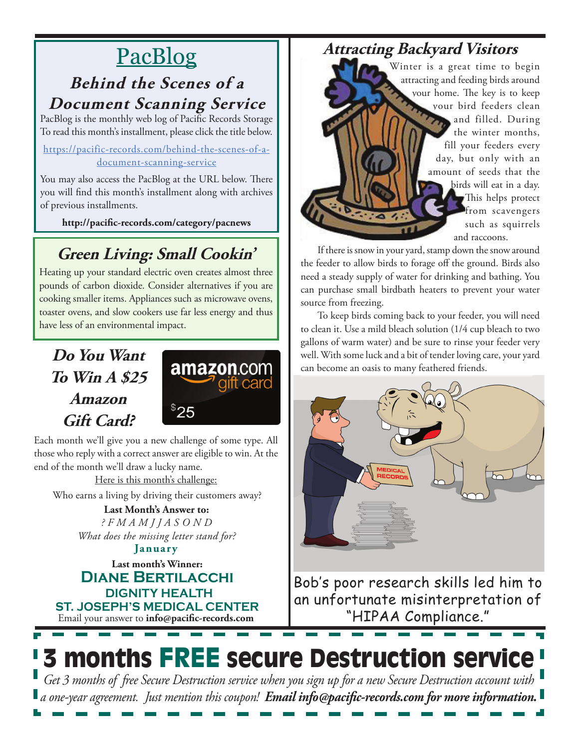## PacBlog

### **Behind the Scenes of a Document Scanning Service**

PacBlog is the monthly web log of Pacific Records Storage To read this month's installment, please click the title below.

[https://pacific-records.com/behind-the-scenes-of-a](https://pacific-records.com/behind-the-scenes-of-a-document-scanning-service)[document-scanning-service](https://pacific-records.com/behind-the-scenes-of-a-document-scanning-service)

You may also access the PacBlog at the URL below. There you will find this month's installment along with archives of previous installments.

**http://pacific-records.com/category/pacnews**

## **Green Living: Small Cookin'**

Heating up your standard electric oven creates almost three pounds of carbon dioxide. Consider alternatives if you are cooking smaller items. Appliances such as microwave ovens, toaster ovens, and slow cookers use far less energy and thus have less of an environmental impact.

## **Do You Want To Win A \$25 Amazon Gift Card?**



Each month we'll give you a new challenge of some type. All those who reply with a correct answer are eligible to win. At the end of the month we'll draw a lucky name.

Here is this month's challenge:

Who earns a living by driving their customers away?

**Last Month's Answer to:**  *? F M A M J J A S O N D What does the missing letter stand for?*

Email your answer to **info@pacific-records.com Last month's Winner: Diane Bertilacchi DIGNITY HEALTH ST. JOSEPH'S MEDICAL CENTER January**

## **Attracting Backyard Visitors**

Winter is a great time to begin attracting and feeding birds around your home. The key is to keep your bird feeders clean and filled. During the winter months, fill your feeders every day, but only with an amount of seeds that the birds will eat in a day. This helps protect *from scavengers* such as squirrels and raccoons.

If there is snow in your yard, stamp down the snow around the feeder to allow birds to forage off the ground. Birds also need a steady supply of water for drinking and bathing. You can purchase small birdbath heaters to prevent your water source from freezing.

To keep birds coming back to your feeder, you will need to clean it. Use a mild bleach solution (1/4 cup bleach to two gallons of warm water) and be sure to rinse your feeder very well. With some luck and a bit of tender loving care, your yard can become an oasis to many feathered friends.



Bob's poor research skills led him to an unfortunate misinterpretation of "HIPAA Compliance."

# 3 months FREE secure Destruction service

*Get 3 months of free Secure Destruction service when you sign up for a new Secure Destruction account with a one-year agreement. Just mention this coupon! Email info@pacific-records.com for more information.*